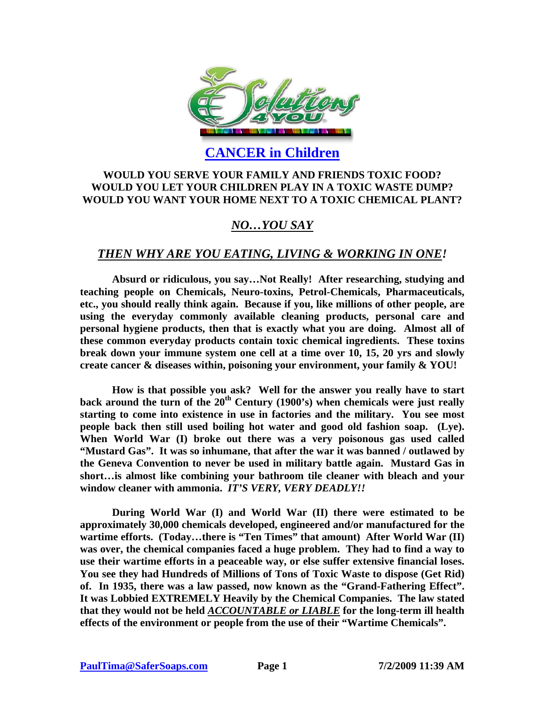

**CANCER in Children**

#### **WOULD YOU SERVE YOUR FAMILY AND FRIENDS TOXIC FOOD? WOULD YOU LET YOUR CHILDREN PLAY IN A TOXIC WASTE DUMP? WOULD YOU WANT YOUR HOME NEXT TO A TOXIC CHEMICAL PLANT?**

## *NO…YOU SAY*

### *THEN WHY ARE YOU EATING, LIVING & WORKING IN ONE!*

**Absurd or ridiculous, you say…Not Really! After researching, studying and teaching people on Chemicals, Neuro-toxins, Petrol-Chemicals, Pharmaceuticals, etc., you should really think again. Because if you, like millions of other people, are using the everyday commonly available cleaning products, personal care and personal hygiene products, then that is exactly what you are doing. Almost all of these common everyday products contain toxic chemical ingredients. These toxins break down your immune system one cell at a time over 10, 15, 20 yrs and slowly create cancer & diseases within, poisoning your environment, your family & YOU!** 

**How is that possible you ask? Well for the answer you really have to start back around the turn of the 20th Century (1900's) when chemicals were just really starting to come into existence in use in factories and the military. You see most people back then still used boiling hot water and good old fashion soap. (Lye). When World War (I) broke out there was a very poisonous gas used called "Mustard Gas". It was so inhumane, that after the war it was banned / outlawed by the Geneva Convention to never be used in military battle again. Mustard Gas in short…is almost like combining your bathroom tile cleaner with bleach and your window cleaner with ammonia.** *IT'S VERY, VERY DEADLY!!*

**During World War (I) and World War (II) there were estimated to be approximately 30,000 chemicals developed, engineered and/or manufactured for the wartime efforts. (Today…there is "Ten Times" that amount) After World War (II) was over, the chemical companies faced a huge problem. They had to find a way to use their wartime efforts in a peaceable way, or else suffer extensive financial loses. You see they had Hundreds of Millions of Tons of Toxic Waste to dispose (Get Rid) of. In 1935, there was a law passed, now known as the "Grand-Fathering Effect". It was Lobbied EXTREMELY Heavily by the Chemical Companies. The law stated that they would not be held** *ACCOUNTABLE or LIABLE* **for the long-term ill health effects of the environment or people from the use of their "Wartime Chemicals".**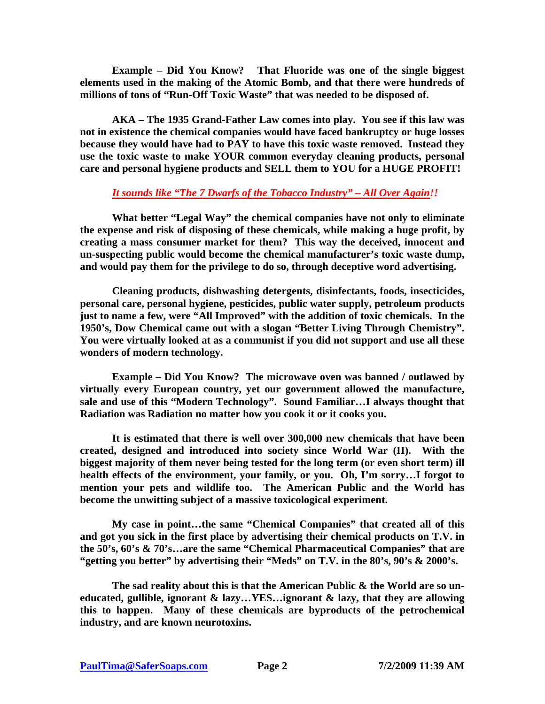**Example – Did You Know? That Fluoride was one of the single biggest elements used in the making of the Atomic Bomb, and that there were hundreds of millions of tons of "Run-Off Toxic Waste" that was needed to be disposed of.** 

**AKA – The 1935 Grand-Father Law comes into play. You see if this law was not in existence the chemical companies would have faced bankruptcy or huge losses because they would have had to PAY to have this toxic waste removed. Instead they use the toxic waste to make YOUR common everyday cleaning products, personal care and personal hygiene products and SELL them to YOU for a HUGE PROFIT!** 

#### *It sounds like "The 7 Dwarfs of the Tobacco Industry" – All Over Again!!*

**What better "Legal Way" the chemical companies have not only to eliminate the expense and risk of disposing of these chemicals, while making a huge profit, by creating a mass consumer market for them? This way the deceived, innocent and un-suspecting public would become the chemical manufacturer's toxic waste dump, and would pay them for the privilege to do so, through deceptive word advertising.** 

**Cleaning products, dishwashing detergents, disinfectants, foods, insecticides, personal care, personal hygiene, pesticides, public water supply, petroleum products just to name a few, were "All Improved" with the addition of toxic chemicals. In the 1950's, Dow Chemical came out with a slogan "Better Living Through Chemistry". You were virtually looked at as a communist if you did not support and use all these wonders of modern technology.** 

**Example – Did You Know? The microwave oven was banned / outlawed by virtually every European country, yet our government allowed the manufacture, sale and use of this "Modern Technology". Sound Familiar…I always thought that Radiation was Radiation no matter how you cook it or it cooks you.** 

**It is estimated that there is well over 300,000 new chemicals that have been created, designed and introduced into society since World War (II). With the biggest majority of them never being tested for the long term (or even short term) ill health effects of the environment, your family, or you. Oh, I'm sorry…I forgot to mention your pets and wildlife too. The American Public and the World has become the unwitting subject of a massive toxicological experiment.** 

**My case in point…the same "Chemical Companies" that created all of this and got you sick in the first place by advertising their chemical products on T.V. in the 50's, 60's & 70's…are the same "Chemical Pharmaceutical Companies" that are "getting you better" by advertising their "Meds" on T.V. in the 80's, 90's & 2000's.** 

**The sad reality about this is that the American Public & the World are so uneducated, gullible, ignorant & lazy…YES…ignorant & lazy, that they are allowing this to happen. Many of these chemicals are byproducts of the petrochemical industry, and are known neurotoxins.**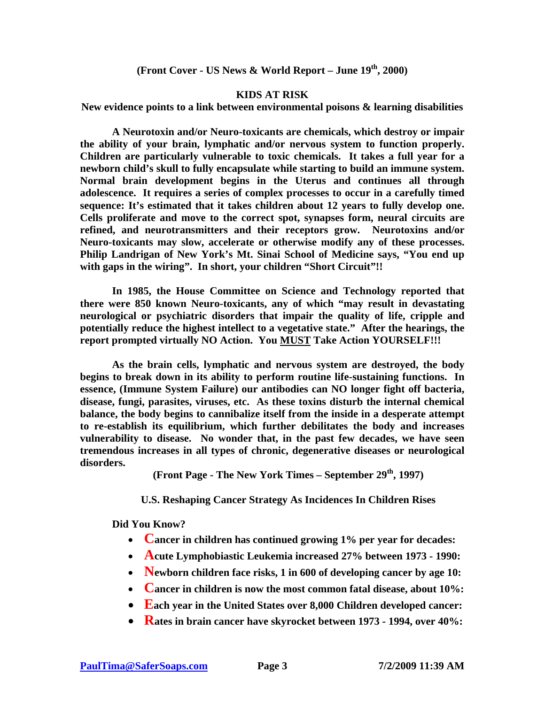**(Front Cover - US News & World Report – June 19th, 2000)** 

#### **KIDS AT RISK**

**New evidence points to a link between environmental poisons & learning disabilities** 

**A Neurotoxin and/or Neuro-toxicants are chemicals, which destroy or impair the ability of your brain, lymphatic and/or nervous system to function properly. Children are particularly vulnerable to toxic chemicals. It takes a full year for a newborn child's skull to fully encapsulate while starting to build an immune system. Normal brain development begins in the Uterus and continues all through adolescence. It requires a series of complex processes to occur in a carefully timed sequence: It's estimated that it takes children about 12 years to fully develop one. Cells proliferate and move to the correct spot, synapses form, neural circuits are refined, and neurotransmitters and their receptors grow. Neurotoxins and/or Neuro-toxicants may slow, accelerate or otherwise modify any of these processes. Philip Landrigan of New York's Mt. Sinai School of Medicine says, "You end up with gaps in the wiring". In short, your children "Short Circuit"!!** 

**In 1985, the House Committee on Science and Technology reported that there were 850 known Neuro-toxicants, any of which "may result in devastating neurological or psychiatric disorders that impair the quality of life, cripple and potentially reduce the highest intellect to a vegetative state." After the hearings, the report prompted virtually NO Action. You MUST Take Action YOURSELF!!!** 

**As the brain cells, lymphatic and nervous system are destroyed, the body begins to break down in its ability to perform routine life-sustaining functions. In essence, (Immune System Failure) our antibodies can NO longer fight off bacteria, disease, fungi, parasites, viruses, etc. As these toxins disturb the internal chemical balance, the body begins to cannibalize itself from the inside in a desperate attempt to re-establish its equilibrium, which further debilitates the body and increases vulnerability to disease. No wonder that, in the past few decades, we have seen tremendous increases in all types of chronic, degenerative diseases or neurological disorders.** 

**(Front Page - The New York Times – September 29th, 1997)** 

**U.S. Reshaping Cancer Strategy As Incidences In Children Rises** 

**Did You Know?** 

- **Cancer in children has continued growing 1% per year for decades:**
- **Acute Lymphobiastic Leukemia increased 27% between 1973 1990:**
- **Newborn children face risks, 1 in 600 of developing cancer by age 10:**
- **Cancer in children is now the most common fatal disease, about 10%:**
- **Each year in the United States over 8,000 Children developed cancer:**
- **Rates in brain cancer have skyrocket between 1973 1994, over 40%:**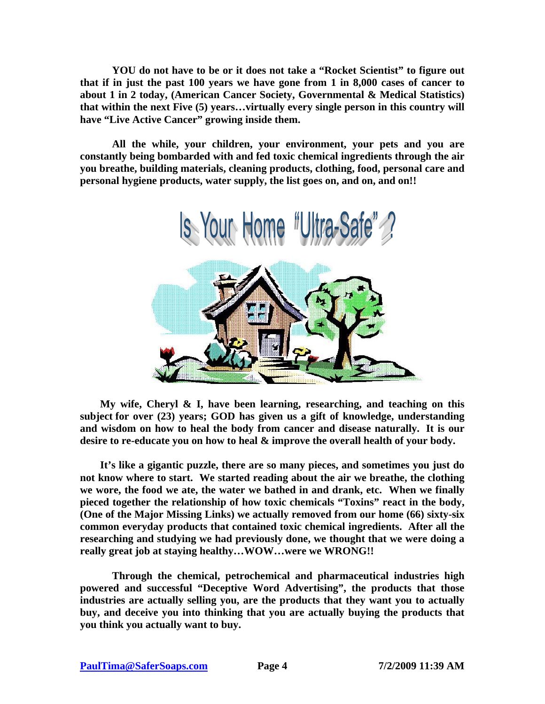**YOU do not have to be or it does not take a "Rocket Scientist" to figure out that if in just the past 100 years we have gone from 1 in 8,000 cases of cancer to about 1 in 2 today, (American Cancer Society, Governmental & Medical Statistics) that within the next Five (5) years…virtually every single person in this country will have "Live Active Cancer" growing inside them.** 

**All the while, your children, your environment, your pets and you are constantly being bombarded with and fed toxic chemical ingredients through the air you breathe, building materials, cleaning products, clothing, food, personal care and personal hygiene products, water supply, the list goes on, and on, and on!!** 



**My wife, Cheryl & I, have been learning, researching, and teaching on this subject for over (23) years; GOD has given us a gift of knowledge, understanding and wisdom on how to heal the body from cancer and disease naturally. It is our desire to re-educate you on how to heal & improve the overall health of your body.** 

**It's like a gigantic puzzle, there are so many pieces, and sometimes you just do not know where to start. We started reading about the air we breathe, the clothing we wore, the food we ate, the water we bathed in and drank, etc. When we finally pieced together the relationship of how toxic chemicals "Toxins" react in the body, (One of the Major Missing Links) we actually removed from our home (66) sixty-six common everyday products that contained toxic chemical ingredients. After all the researching and studying we had previously done, we thought that we were doing a really great job at staying healthy…WOW…were we WRONG!!** 

**Through the chemical, petrochemical and pharmaceutical industries high powered and successful "Deceptive Word Advertising", the products that those industries are actually selling you, are the products that they want you to actually buy, and deceive you into thinking that you are actually buying the products that you think you actually want to buy.**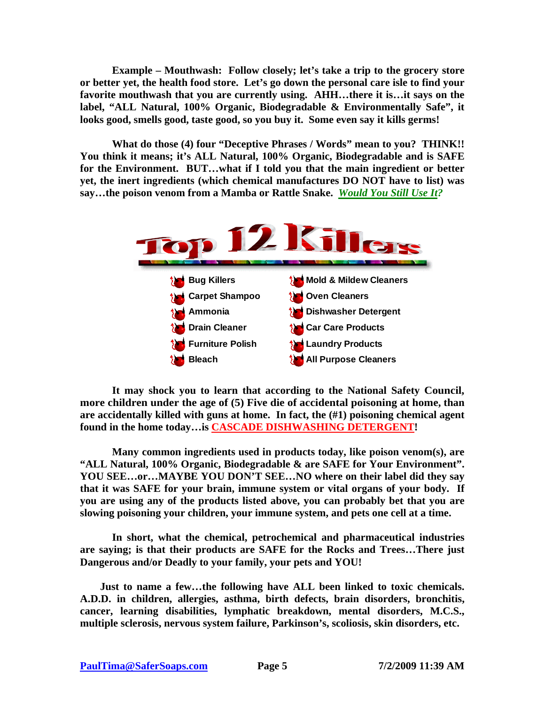**Example – Mouthwash: Follow closely; let's take a trip to the grocery store or better yet, the health food store. Let's go down the personal care isle to find your favorite mouthwash that you are currently using. AHH…there it is…it says on the label, "ALL Natural, 100% Organic, Biodegradable & Environmentally Safe", it looks good, smells good, taste good, so you buy it. Some even say it kills germs!** 

**What do those (4) four "Deceptive Phrases / Words" mean to you? THINK!! You think it means; it's ALL Natural, 100% Organic, Biodegradable and is SAFE for the Environment. BUT…what if I told you that the main ingredient or better yet, the inert ingredients (which chemical manufactures DO NOT have to list) was say…the poison venom from a Mamba or Rattle Snake.** *Would You Still Use It?* 



**It may shock you to learn that according to the National Safety Council, more children under the age of (5) Five die of accidental poisoning at home, than are accidentally killed with guns at home. In fact, the (#1) poisoning chemical agent found in the home today…is CASCADE DISHWASHING DETERGENT!** 

**Many common ingredients used in products today, like poison venom(s), are "ALL Natural, 100% Organic, Biodegradable & are SAFE for Your Environment". YOU SEE…or…MAYBE YOU DON'T SEE…NO where on their label did they say that it was SAFE for your brain, immune system or vital organs of your body. If you are using any of the products listed above, you can probably bet that you are slowing poisoning your children, your immune system, and pets one cell at a time.** 

**In short, what the chemical, petrochemical and pharmaceutical industries are saying; is that their products are SAFE for the Rocks and Trees…There just Dangerous and/or Deadly to your family, your pets and YOU!** 

**Just to name a few…the following have ALL been linked to toxic chemicals. A.D.D. in children, allergies, asthma, birth defects, brain disorders, bronchitis, cancer, learning disabilities, lymphatic breakdown, mental disorders, M.C.S., multiple sclerosis, nervous system failure, Parkinson's, scoliosis, skin disorders, etc.**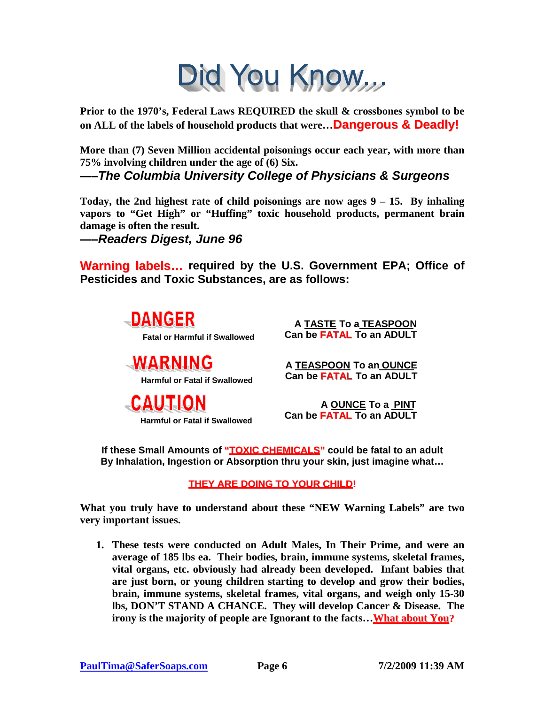# Did You Know

**Prior to the 1970's, Federal Laws REQUIRED the skull & crossbones symbol to be on ALL of the labels of household products that were…Dangerous & Deadly!**

**More than (7) Seven Million accidental poisonings occur each year, with more than 75% involving children under the age of (6) Six.** 

**—–***The Columbia University College of Physicians & Surgeons*

**Today, the 2nd highest rate of child poisonings are now ages 9 – 15. By inhaling vapors to "Get High" or "Huffing" toxic household products, permanent brain damage is often the result.** 

**—–***Readers Digest, June 96*

**Warning labels… required by the U.S. Government EPA; Office of Pesticides and Toxic Substances, are as follows:**

> l, **DANGER Fatal or Harmful if Swallowed**

**WARNING Harmful or Fatal if Swallowed**

**CAUTION Harmful or Fatal if Swallowed**

**A TASTE To aTEASPOON Can be FATAL To an ADULT**

**A TEASPOON To an OUNCE Can be FATAL To an ADULT**

**A OUNCE To a PINT Can be FATAL To an ADULT**

**If these Small Amounts of "TOXIC CHEMICALS" could be fatal to an adult By Inhalation, Ingestion or Absorption thru your skin, just imagine what…** 

**THEY ARE DOING TO YOUR CHILD!**

**What you truly have to understand about these "NEW Warning Labels" are two very important issues.** 

**1. These tests were conducted on Adult Males, In Their Prime, and were an average of 185 lbs ea. Their bodies, brain, immune systems, skeletal frames, vital organs, etc. obviously had already been developed. Infant babies that are just born, or young children starting to develop and grow their bodies, brain, immune systems, skeletal frames, vital organs, and weigh only 15-30 lbs, DON'T STAND A CHANCE. They will develop Cancer & Disease. The irony is the majority of people are Ignorant to the facts…What about You?**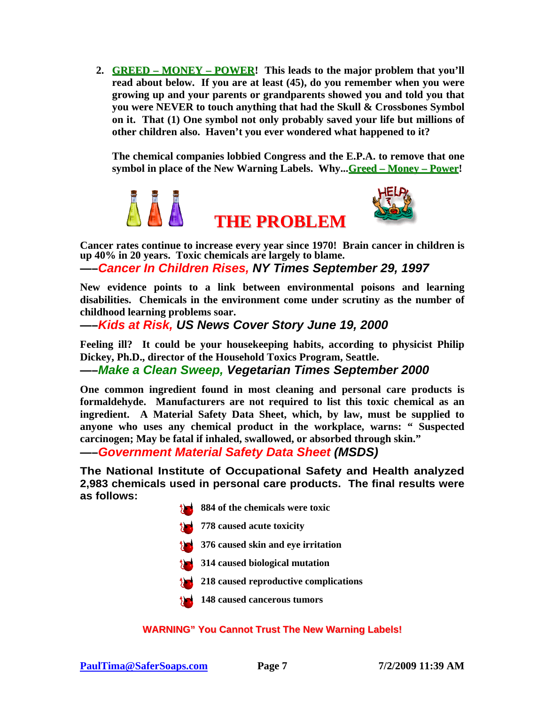**2. GREED – MONEY – POWER! This leads to the major problem that you'll read about below. If you are at least (45), do you remember when you were growing up and your parents or grandparents showed you and told you that you were NEVER to touch anything that had the Skull & Crossbones Symbol on it. That (1) One symbol not only probably saved your life but millions of other children also. Haven't you ever wondered what happened to it?** 

**The chemical companies lobbied Congress and the E.P.A. to remove that one symbol in place of the New Warning Labels. Why...Greed – Money – Power!** 



**Cancer rates continue to increase every year since 1970! Brain cancer in children is up 40% in 20 years. Toxic chemicals are largely to blame. —–***Cancer In Children Rises, NY Times September 29, 1997*

**New evidence points to a link between environmental poisons and learning disabilities. Chemicals in the environment come under scrutiny as the number of childhood learning problems soar.** 

**—–***Kids at Risk, US News Cover Story June 19, 2000*

**Feeling ill? It could be your housekeeping habits, according to physicist Philip Dickey, Ph.D., director of the Household Toxics Program, Seattle.** 

**—–***Make a Clean Sweep, Vegetarian Times September 2000*

**One common ingredient found in most cleaning and personal care products is formaldehyde. Manufacturers are not required to list this toxic chemical as an ingredient. A Material Safety Data Sheet, which, by law, must be supplied to anyone who uses any chemical product in the workplace, warns: " Suspected carcinogen; May be fatal if inhaled, swallowed, or absorbed through skin."** 

**—–***Government Material Safety Data Sheet (MSDS)*

**The National Institute of Occupational Safety and Health analyzed 2,983 chemicals used in personal care products. The final results were as follows:** 



- **778 caused acute toxicity**
- **376 caused skin and eye irritation**
- **314 caused biological mutation**
- **218 caused reproductive complications**
- **148 caused cancerous tumors**

#### **WARNING" You Cannot Trust The New Warning Labels!**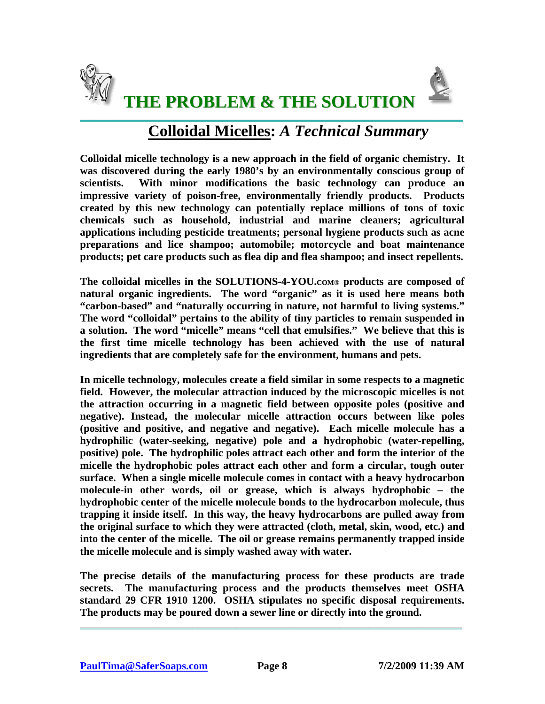



 **THE PROBLEM & THE SOLUTION**  $\_$  ,  $\_$  ,  $\_$  ,  $\_$  ,  $\_$  ,  $\_$  ,  $\_$  ,  $\_$  ,  $\_$  ,  $\_$  ,  $\_$  ,  $\_$  ,  $\_$  ,  $\_$  ,  $\_$  ,  $\_$  ,  $\_$  ,  $\_$  ,  $\_$  ,  $\_$  ,  $\_$  ,  $\_$  ,  $\_$  ,  $\_$  ,  $\_$  ,  $\_$  ,  $\_$  ,  $\_$  ,  $\_$  ,  $\_$  ,  $\_$  ,  $\_$  ,  $\_$  ,  $\_$  ,  $\_$  ,  $\_$  ,  $\_$  ,

# **Colloidal Micelles:** *A Technical Summary*

**Colloidal micelle technology is a new approach in the field of organic chemistry. It was discovered during the early 1980's by an environmentally conscious group of scientists. With minor modifications the basic technology can produce an impressive variety of poison-free, environmentally friendly products. Products created by this new technology can potentially replace millions of tons of toxic chemicals such as household, industrial and marine cleaners; agricultural applications including pesticide treatments; personal hygiene products such as acne preparations and lice shampoo; automobile; motorcycle and boat maintenance products; pet care products such as flea dip and flea shampoo; and insect repellents.** 

**The colloidal micelles in the SOLUTIONS-4-YOU.COM® products are composed of natural organic ingredients. The word "organic" as it is used here means both "carbon-based" and "naturally occurring in nature, not harmful to living systems." The word "colloidal" pertains to the ability of tiny particles to remain suspended in a solution. The word "micelle" means "cell that emulsifies." We believe that this is the first time micelle technology has been achieved with the use of natural ingredients that are completely safe for the environment, humans and pets.** 

**In micelle technology, molecules create a field similar in some respects to a magnetic field. However, the molecular attraction induced by the microscopic micelles is not the attraction occurring in a magnetic field between opposite poles (positive and negative). Instead, the molecular micelle attraction occurs between like poles (positive and positive, and negative and negative). Each micelle molecule has a hydrophilic (water-seeking, negative) pole and a hydrophobic (water-repelling, positive) pole. The hydrophilic poles attract each other and form the interior of the micelle the hydrophobic poles attract each other and form a circular, tough outer surface. When a single micelle molecule comes in contact with a heavy hydrocarbon molecule-in other words, oil or grease, which is always hydrophobic – the hydrophobic center of the micelle molecule bonds to the hydrocarbon molecule, thus trapping it inside itself. In this way, the heavy hydrocarbons are pulled away from the original surface to which they were attracted (cloth, metal, skin, wood, etc.) and into the center of the micelle. The oil or grease remains permanently trapped inside the micelle molecule and is simply washed away with water.** 

**The precise details of the manufacturing process for these products are trade secrets. The manufacturing process and the products themselves meet OSHA standard 29 CFR 1910 1200. OSHA stipulates no specific disposal requirements. The products may be poured down a sewer line or directly into the ground.** 

\_\_\_\_\_\_\_\_\_\_\_\_\_\_\_\_\_\_\_\_\_\_\_\_\_\_\_\_\_\_\_\_\_\_\_\_\_\_\_\_\_\_\_\_\_\_\_\_\_\_\_\_\_\_\_\_\_\_\_\_\_\_\_\_\_\_\_\_\_\_\_\_\_\_\_\_\_\_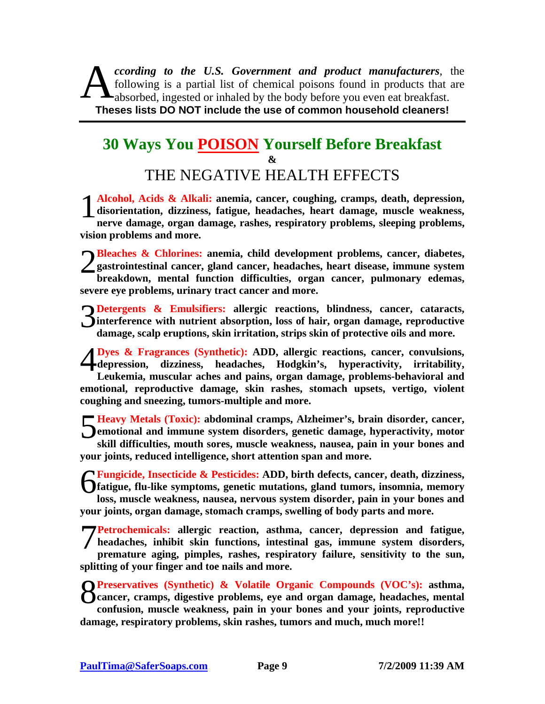*ccording to the U.S. Government and product manufacturers*, the following is a partial list of chemical poisons found in products that are cording to the U.S. Government and product manufacturers, the following is a partial list of chemical poisons found in products that a absorbed, ingested or inhaled by the body before you even eat breakfast. **Theses lists DO NOT include the use of common household cleaners!** 

# **30 Ways You POISON Yourself Before Breakfast &**  THE NEGATIVE HEALTH EFFECTS

**Alcohol, Acids & Alkali: anemia, cancer, coughing, cramps, death, depression, disorientation, dizziness, fatigue, headaches, heart damage, muscle weakness, nerve damage, organ damage, rashes, respiratory problems, sleeping problems, vision problems and more.**  $1<sup>4</sup>$ 

**Bleaches & Chlorines: anemia, child development problems, cancer, diabetes, gastrointestinal cancer, gland cancer, headaches, heart disease, immune system breakdown, mental function difficulties, organ cancer, pulmonary edemas, severe eye problems, urinary tract cancer and more.**  $2^{\frac{B}{g}}$ 

**Detergents & Emulsifiers:** allergic reactions, blindness, cancer, cataracts, interference with nutrient absorption, loss of hair, organ damage, reproductive damage scalp emuntions skin irritation strips skin of protective **interference with nutrient absorption, loss of hair, organ damage, reproductive damage, scalp eruptions, skin irritation, strips skin of protective oils and more.**

**Dyes & Fragrances (Synthetic): ADD, allergic reactions, cancer, convulsions, depression, dizziness, headaches, Hodgkin's, hyperactivity, irritability, Leukemia, muscular aches and pains, organ damage, problems-behavioral and emotional, reproductive damage, skin rashes, stomach upsets, vertigo, violent coughing and sneezing, tumors-multiple and more.** 4

**Heavy Metals (Toxic): abdominal cramps, Alzheimer's, brain disorder, cancer, emotional and immune system disorders, genetic damage, hyperactivity, motor skill difficulties, mouth sores, muscle weakness, nausea, pain in your bones and your joints, reduced intelligence, short attention span and more.** 5

**Fungicide, Insecticide & Pesticides: ADD, birth defects, cancer, death, dizziness, fatigue, flu-like symptoms, genetic mutations, gland tumors, insomnia, memory loss, muscle weakness, nausea, nervous system disorder, pain in your bones and your joints, organ damage, stomach cramps, swelling of body parts and more.**  6

**Petrochemicals: allergic reaction, asthma, cancer, depression and fatigue, headaches, inhibit skin functions, intestinal gas, immune system disorders, premature aging, pimples, rashes, respiratory failure, sensitivity to the sun, splitting of your finger and toe nails and more.** 7

**Preservatives (Synthetic) & Volatile Organic Compounds (VOC's): asthma,**<br> **Preservatives**, digestive problems, eye and organ damage, headaches, mental<br>
confusion muscle weekness poin in your bones and your joints reproduc **cancer, cramps, digestive problems, eye and organ damage, headaches, mental confusion, muscle weakness, pain in your bones and your joints, reproductive damage, respiratory problems, skin rashes, tumors and much, much more!!**